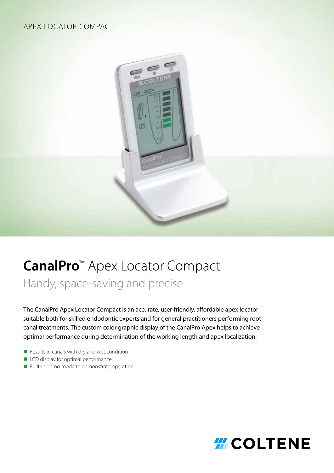## APEX LOCATOR COMPACT



# CanalPro<sup>™</sup> Apex Locator Compact

Handy, space-saving and precise

The CanalPro Apex Locator Compact is an accurate, user-friendly, affordable apex locator suitable both for skilled endodontic experts and for general practitioners performing root canal treatments. The custom color graphic display of the CanalPro Apex helps to achieve optimal performance during determination of the working length and apex localization.

- $\blacksquare$  Results in canals with dry and wet condition
- **n** LCD display for optimal performance
- Built-in demo mode to demonstrate operation